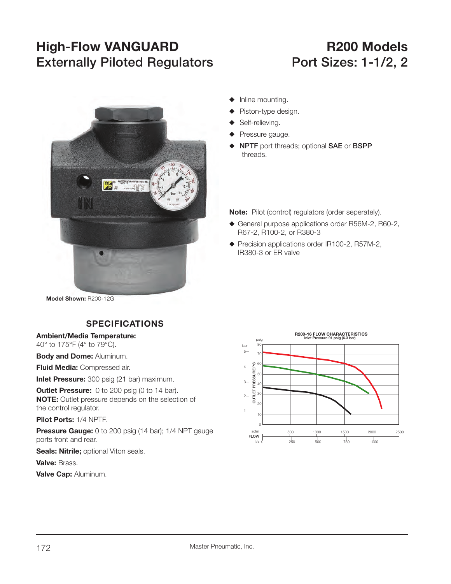# **High-Flow VANGUARD R200 Models Externally Piloted Regulators Port Sizes: 1-1/2, 2**



- $\blacklozenge$  Inline mounting.
- Piston-type design.
- Self-relieving.
- **Pressure gauge.**
- S **NPTF** port threads; optional **SAE** or **BSPP** threads.

**Note:** Pilot (control) regulators (order seperately).

- ◆ General purpose applications order R56M-2, R60-2, R67-2, R100-2, or R380-3
- ◆ Precision applications order IR100-2, R57M-2, IR380-3 or ER valve

**Model Shown:** R200-12G

## **SPECIFICATIONS**

#### **Ambient/Media Temperature:**

40° to 175°F (4° to 79°C).

**Body and Dome:** Aluminum.

**Fluid Media:** Compressed air.

**Inlet Pressure:** 300 psig (21 bar) maximum.

**Outlet Pressure:** 0 to 200 psig (0 to 14 bar). **NOTE:** Outlet pressure depends on the selection of the control regulator.

**Pilot Ports:** 1/4 NPTF.

**Pressure Gauge:** 0 to 200 psig (14 bar); 1/4 NPT gauge ports front and rear.

**Seals: Nitrile; optional Viton seals.** 

**Valve:** Brass.

**Valve Cap:** Aluminum.